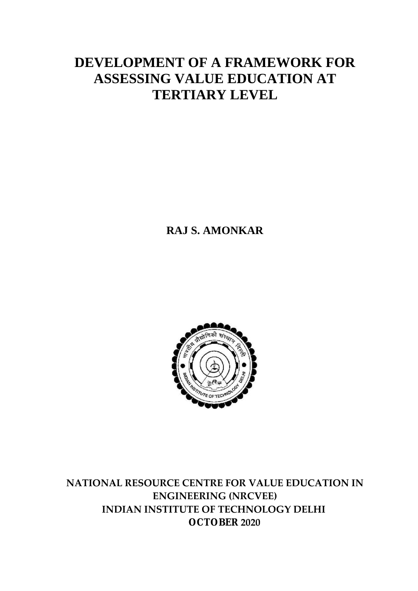## **DEVELOPMENT OF A FRAMEWORK FOR ASSESSING VALUE EDUCATION AT TERTIARY LEVEL**

**RAJ S. AMONKAR**



**NATIONAL RESOURCE CENTRE FOR VALUE EDUCATION IN ENGINEERING (NRCVEE) INDIAN INSTITUTE OF TECHNOLOGY DELHI OCTOBER 2020**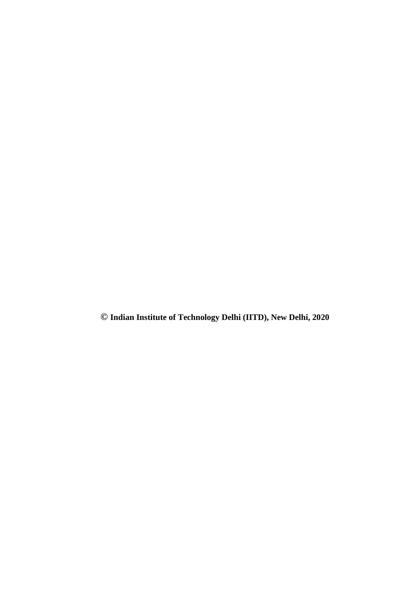**© Indian Institute of Technology Delhi (IITD), New Delhi, 2020**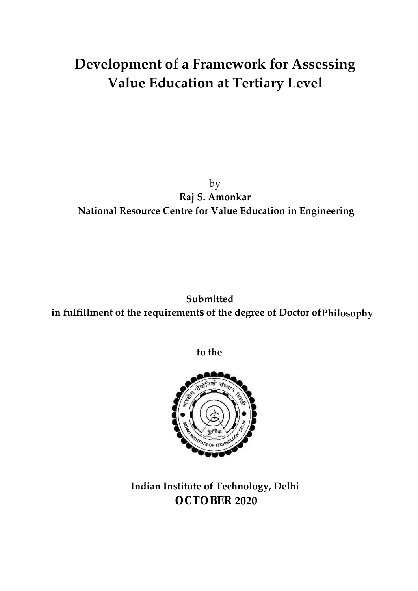# **Development of a Framework for Assessing Value Education at Tertiary Level**

#### by **Raj S. Amonkar National Resource Centre for Value Education in Engineering**

### **Submitted in fulfillment of the requirements of the degree of Doctor of Philosophy**

**to the**



**Indian Institute of Technology, Delhi OCTOBER 2020**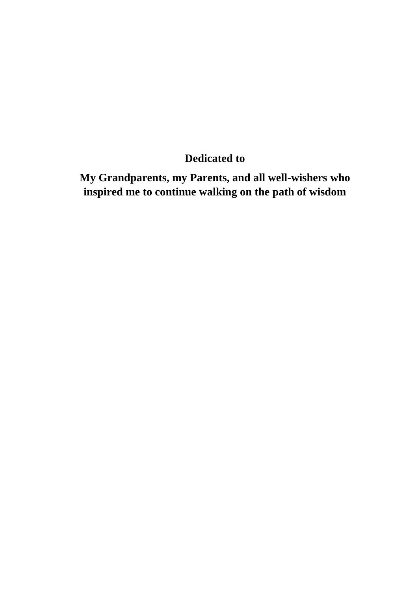### **Dedicated to**

**My Grandparents, my Parents, and all well-wishers who inspired me to continue walking on the path of wisdom**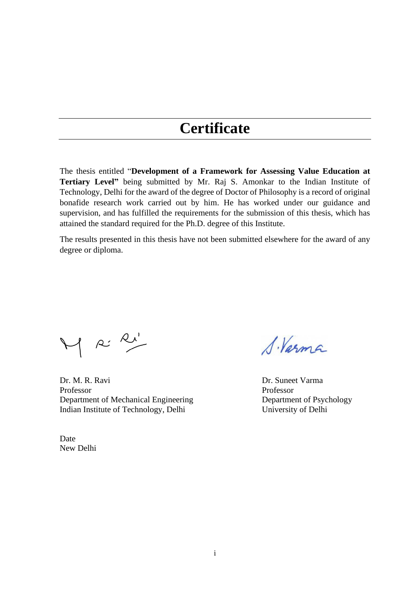## **Certificate**

The thesis entitled "**Development of a Framework for Assessing Value Education at Tertiary Level"** being submitted by Mr. Raj S. Amonkar to the Indian Institute of Technology, Delhi for the award of the degree of Doctor of Philosophy is a record of original bonafide research work carried out by him. He has worked under our guidance and supervision, and has fulfilled the requirements for the submission of this thesis, which has attained the standard required for the Ph.D. degree of this Institute.

The results presented in this thesis have not been submitted elsewhere for the award of any degree or diploma.

M R: R'

Dr. M. R. Ravi Dr. Suneet Varma Professor Professor Department of Mechanical Engineering Department of Psychology Indian Institute of Technology, Delhi University of Delhi

Date New Delhi

S. Varma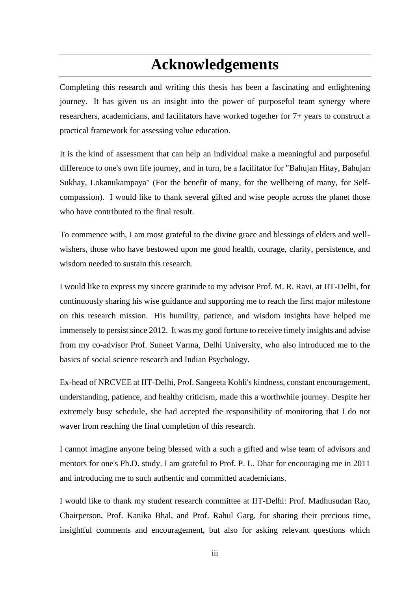# **Acknowledgements**

Completing this research and writing this thesis has been a fascinating and enlightening journey. It has given us an insight into the power of purposeful team synergy where researchers, academicians, and facilitators have worked together for 7+ years to construct a practical framework for assessing value education.

It is the kind of assessment that can help an individual make a meaningful and purposeful difference to one's own life journey, and in turn, be a facilitator for "Bahujan Hitay, Bahujan Sukhay, Lokanukampaya" (For the benefit of many, for the wellbeing of many, for Selfcompassion). I would like to thank several gifted and wise people across the planet those who have contributed to the final result.

To commence with, I am most grateful to the divine grace and blessings of elders and wellwishers, those who have bestowed upon me good health, courage, clarity, persistence, and wisdom needed to sustain this research.

I would like to express my sincere gratitude to my advisor Prof. M. R. Ravi, at IIT-Delhi, for continuously sharing his wise guidance and supporting me to reach the first major milestone on this research mission. His humility, patience, and wisdom insights have helped me immensely to persist since 2012. It was my good fortune to receive timely insights and advise from my co-advisor Prof. Suneet Varma, Delhi University, who also introduced me to the basics of social science research and Indian Psychology.

Ex-head of NRCVEE at IIT-Delhi, Prof. Sangeeta Kohli's kindness, constant encouragement, understanding, patience, and healthy criticism, made this a worthwhile journey. Despite her extremely busy schedule, she had accepted the responsibility of monitoring that I do not waver from reaching the final completion of this research.

I cannot imagine anyone being blessed with a such a gifted and wise team of advisors and mentors for one's Ph.D. study. I am grateful to Prof. P. L. Dhar for encouraging me in 2011 and introducing me to such authentic and committed academicians.

I would like to thank my student research committee at IIT-Delhi: Prof. Madhusudan Rao, Chairperson, Prof. Kanika Bhal, and Prof. Rahul Garg, for sharing their precious time, insightful comments and encouragement, but also for asking relevant questions which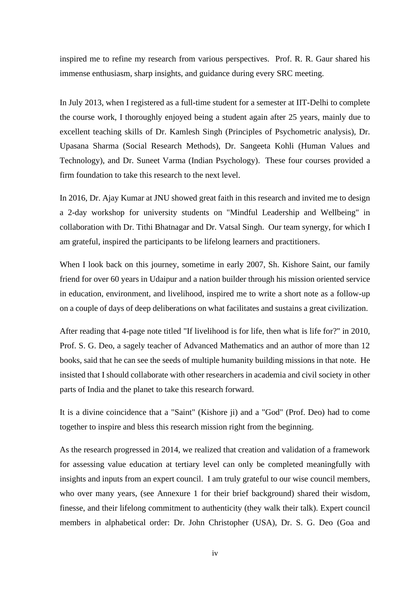inspired me to refine my research from various perspectives. Prof. R. R. Gaur shared his immense enthusiasm, sharp insights, and guidance during every SRC meeting.

In July 2013, when I registered as a full-time student for a semester at IIT-Delhi to complete the course work, I thoroughly enjoyed being a student again after 25 years, mainly due to excellent teaching skills of Dr. Kamlesh Singh (Principles of Psychometric analysis), Dr. Upasana Sharma (Social Research Methods), Dr. Sangeeta Kohli (Human Values and Technology), and Dr. Suneet Varma (Indian Psychology). These four courses provided a firm foundation to take this research to the next level.

In 2016, Dr. Ajay Kumar at JNU showed great faith in this research and invited me to design a 2-day workshop for university students on "Mindful Leadership and Wellbeing" in collaboration with Dr. Tithi Bhatnagar and Dr. Vatsal Singh. Our team synergy, for which I am grateful, inspired the participants to be lifelong learners and practitioners.

When I look back on this journey, sometime in early 2007, Sh. Kishore Saint, our family friend for over 60 years in Udaipur and a nation builder through his mission oriented service in education, environment, and livelihood, inspired me to write a short note as a follow-up on a couple of days of deep deliberations on what facilitates and sustains a great civilization.

After reading that 4-page note titled "If livelihood is for life, then what is life for?" in 2010, Prof. S. G. Deo, a sagely teacher of Advanced Mathematics and an author of more than 12 books, said that he can see the seeds of multiple humanity building missions in that note. He insisted that I should collaborate with other researchers in academia and civil society in other parts of India and the planet to take this research forward.

It is a divine coincidence that a "Saint" (Kishore ji) and a "God" (Prof. Deo) had to come together to inspire and bless this research mission right from the beginning.

As the research progressed in 2014, we realized that creation and validation of a framework for assessing value education at tertiary level can only be completed meaningfully with insights and inputs from an expert council. I am truly grateful to our wise council members, who over many years, (see Annexure 1 for their brief background) shared their wisdom, finesse, and their lifelong commitment to authenticity (they walk their talk). Expert council members in alphabetical order: Dr. John Christopher (USA), Dr. S. G. Deo (Goa and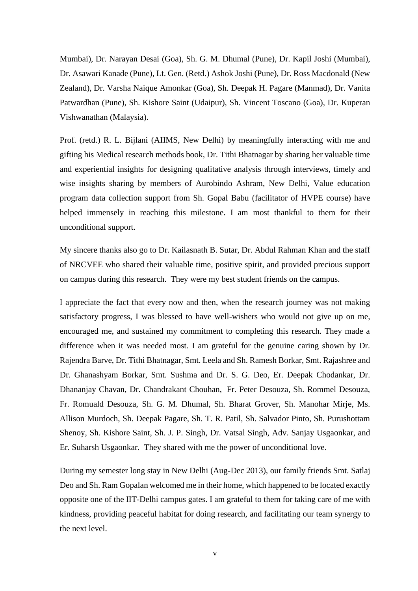Mumbai), Dr. Narayan Desai (Goa), Sh. G. M. Dhumal (Pune), Dr. Kapil Joshi (Mumbai), Dr. Asawari Kanade (Pune), Lt. Gen. (Retd.) Ashok Joshi (Pune), Dr. Ross Macdonald (New Zealand), Dr. Varsha Naique Amonkar (Goa), Sh. Deepak H. Pagare (Manmad), Dr. Vanita Patwardhan (Pune), Sh. Kishore Saint (Udaipur), Sh. Vincent Toscano (Goa), Dr. Kuperan Vishwanathan (Malaysia).

Prof. (retd.) R. L. Bijlani (AIIMS, New Delhi) by meaningfully interacting with me and gifting his Medical research methods book, Dr. Tithi Bhatnagar by sharing her valuable time and experiential insights for designing qualitative analysis through interviews, timely and wise insights sharing by members of Aurobindo Ashram, New Delhi, Value education program data collection support from Sh. Gopal Babu (facilitator of HVPE course) have helped immensely in reaching this milestone. I am most thankful to them for their unconditional support.

My sincere thanks also go to Dr. Kailasnath B. Sutar, Dr. Abdul Rahman Khan and the staff of NRCVEE who shared their valuable time, positive spirit, and provided precious support on campus during this research. They were my best student friends on the campus.

I appreciate the fact that every now and then, when the research journey was not making satisfactory progress, I was blessed to have well-wishers who would not give up on me, encouraged me, and sustained my commitment to completing this research. They made a difference when it was needed most. I am grateful for the genuine caring shown by Dr. Rajendra Barve, Dr. Tithi Bhatnagar, Smt. Leela and Sh. Ramesh Borkar, Smt. Rajashree and Dr. Ghanashyam Borkar, Smt. Sushma and Dr. S. G. Deo, Er. Deepak Chodankar, Dr. Dhananjay Chavan, Dr. Chandrakant Chouhan, Fr. Peter Desouza, Sh. Rommel Desouza, Fr. Romuald Desouza, Sh. G. M. Dhumal, Sh. Bharat Grover, Sh. Manohar Mirje, Ms. Allison Murdoch, Sh. Deepak Pagare, Sh. T. R. Patil, Sh. Salvador Pinto, Sh. Purushottam Shenoy, Sh. Kishore Saint, Sh. J. P. Singh, Dr. Vatsal Singh, Adv. Sanjay Usgaonkar, and Er. Suharsh Usgaonkar. They shared with me the power of unconditional love.

During my semester long stay in New Delhi (Aug-Dec 2013), our family friends Smt. Satlaj Deo and Sh. Ram Gopalan welcomed me in their home, which happened to be located exactly opposite one of the IIT-Delhi campus gates. I am grateful to them for taking care of me with kindness, providing peaceful habitat for doing research, and facilitating our team synergy to the next level.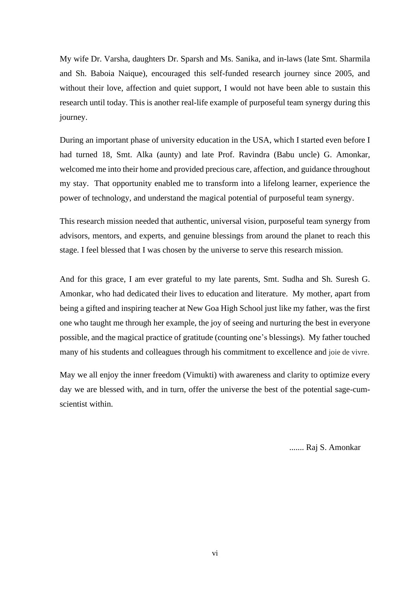My wife Dr. Varsha, daughters Dr. Sparsh and Ms. Sanika, and in-laws (late Smt. Sharmila and Sh. Baboia Naique), encouraged this self-funded research journey since 2005, and without their love, affection and quiet support, I would not have been able to sustain this research until today. This is another real-life example of purposeful team synergy during this journey.

During an important phase of university education in the USA, which I started even before I had turned 18, Smt. Alka (aunty) and late Prof. Ravindra (Babu uncle) G. Amonkar, welcomed me into their home and provided precious care, affection, and guidance throughout my stay. That opportunity enabled me to transform into a lifelong learner, experience the power of technology, and understand the magical potential of purposeful team synergy.

This research mission needed that authentic, universal vision, purposeful team synergy from advisors, mentors, and experts, and genuine blessings from around the planet to reach this stage. I feel blessed that I was chosen by the universe to serve this research mission.

And for this grace, I am ever grateful to my late parents, Smt. Sudha and Sh. Suresh G. Amonkar, who had dedicated their lives to education and literature. My mother, apart from being a gifted and inspiring teacher at New Goa High School just like my father, was the first one who taught me through her example, the joy of seeing and nurturing the best in everyone possible, and the magical practice of gratitude (counting one's blessings). My father touched many of his students and colleagues through his commitment to excellence and joie de vivre.

May we all enjoy the inner freedom (Vimukti) with awareness and clarity to optimize every day we are blessed with, and in turn, offer the universe the best of the potential sage-cumscientist within.

....... Raj S. Amonkar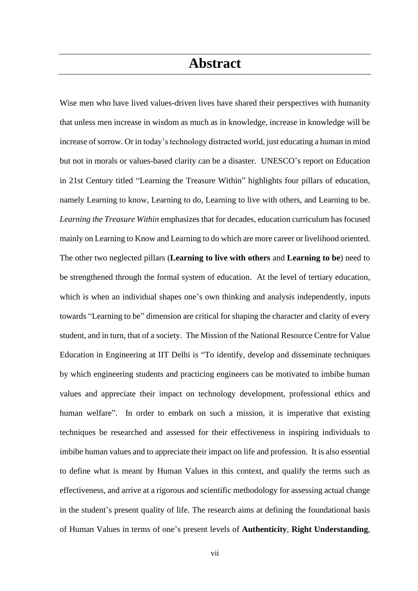### **Abstract**

Wise men who have lived values-driven lives have shared their perspectives with humanity that unless men increase in wisdom as much as in knowledge, increase in knowledge will be increase of sorrow. Or in today's technology distracted world, just educating a human in mind but not in morals or values-based clarity can be a disaster. UNESCO's report on Education in 21st Century titled "Learning the Treasure Within" highlights four pillars of education, namely Learning to know, Learning to do, Learning to live with others, and Learning to be. *Learning the Treasure Within* emphasizes that for decades, education curriculum has focused mainly on Learning to Know and Learning to do which are more career or livelihood oriented. The other two neglected pillars (**Learning to live with others** and **Learning to be**) need to be strengthened through the formal system of education. At the level of tertiary education, which is when an individual shapes one's own thinking and analysis independently, inputs towards "Learning to be" dimension are critical for shaping the character and clarity of every student, and in turn, that of a society. The Mission of the National Resource Centre for Value Education in Engineering at IIT Delhi is "To identify, develop and disseminate techniques by which engineering students and practicing engineers can be motivated to imbibe human values and appreciate their impact on technology development, professional ethics and human welfare". In order to embark on such a mission, it is imperative that existing techniques be researched and assessed for their effectiveness in inspiring individuals to imbibe human values and to appreciate their impact on life and profession. It is also essential to define what is meant by Human Values in this context, and qualify the terms such as effectiveness, and arrive at a rigorous and scientific methodology for assessing actual change in the student's present quality of life. The research aims at defining the foundational basis of Human Values in terms of one's present levels of **Authenticity**, **Right Understanding**,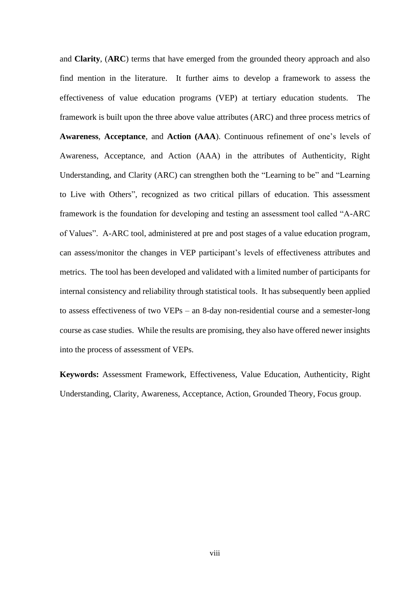and **Clarity**, (**ARC**) terms that have emerged from the grounded theory approach and also find mention in the literature. It further aims to develop a framework to assess the effectiveness of value education programs (VEP) at tertiary education students. The framework is built upon the three above value attributes (ARC) and three process metrics of **Awareness**, **Acceptance**, and **Action (AAA**). Continuous refinement of one's levels of Awareness, Acceptance, and Action (AAA) in the attributes of Authenticity, Right Understanding, and Clarity (ARC) can strengthen both the "Learning to be" and "Learning to Live with Others", recognized as two critical pillars of education. This assessment framework is the foundation for developing and testing an assessment tool called "A-ARC of Values". A-ARC tool, administered at pre and post stages of a value education program, can assess/monitor the changes in VEP participant's levels of effectiveness attributes and metrics. The tool has been developed and validated with a limited number of participants for internal consistency and reliability through statistical tools. It has subsequently been applied to assess effectiveness of two VEPs – an 8-day non-residential course and a semester-long course as case studies. While the results are promising, they also have offered newer insights into the process of assessment of VEPs.

**Keywords:** Assessment Framework, Effectiveness, Value Education, Authenticity, Right Understanding, Clarity, Awareness, Acceptance, Action, Grounded Theory, Focus group.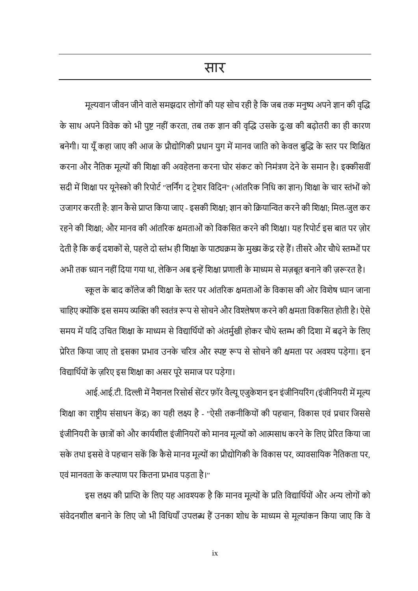सार

मूल्यवान जीवन जीने वाले समझदार लोगों की यह सोच रही है कि जब तक मनुष्य अपने ज्ञान की वृद्धि के साथ अपनेकववेक को भी पुष्ट नहीोंकरता, तब तक ज्ञान की वृद्धि उसके दुुःख की बढ़ोतरी का ही कारण बनेगी। या यूँ कहा जाए की आज के प्रौद्योगिकी प्रधान युग में मानव जाति को केवल बुद्धि के स्तर पर शिक्षित करना और नैतिक मूल्यों की शिक्षा की अवहेलना करना घोर संकट को निमंत्रण देने के समान है। इक्कीसवीं सदी में शिक्षा पर यूनेस्को की रिपोर्ट "लर्निंग द टे़शर विदिन" (आंतरिक निधि का ज्ञान) शिक्षा के चार स्तंभों को उजागर करती है: ज्ञान कैसे प्राप्त किया जाए - इसकी शिक्षा; ज्ञान को क्रियान्वित करने की शिक्षा; मिल-जुल कर रहने की शिक्षा; और मानव की आंतरिक क्षमताओं को विकसित करने की शिक्षा। यह रिपोर्ट इस बात पर ज़ोर देती है कि कई दशकों से, पहले दो स्तंभ ही शिक्षा के पाठ्यक्रम के मुख्य केंद्र रहे हैं। तीसरे और चौथे स्तम्भों पर

अभी तक ध्यान नहीं दिया गया था, लेकिन अब इन्हें शिक्षा प्रणाली के माध्यम से मज़बूत बनाने की ज़रूरत है। स्कूल के बाद कॉलेज की शिक्षा के स्तर पर आंतरिक क्षमताओं के विकास की ओर विशेष ध्यान जाना चाहिए क्योंकि इस समय व्यक्ति की स्वतंत्र रूप से सोचने और विश्लेषण करने की क्षमता विकसित होती है। ऐसे समय में यदि उचित शिक्षा के माध्यम से विद्यार्थियों को अंतर्मुखी होकर चौथे स्तम्भ की दिशा में बढ़ने के लिए प्रेरित किया जाए तो इसका प्रभाव उनके चरित्र और स्पष्ट रूप से सोचने की क्षमता पर अवश्य पड़ेगा। इन विद्यार्थियों के ज़रिए इस शिक्षा का असर पूरे समाज पर पड़ेगा।

आई.आई.टी. दिल्ली में नैशनल रिसोर्स सेंटर फ़ॉर वैल्यू एजुकेशन इन इंजीनियरिंग (इंजीनियरी में मूल्य शिक्षा का राष्ट्रीय संसाधन केंद्र) का यही लक्ष्य है - "ऐसी तकनीकियों की पहचान, विकास एवं प्रचार जिससे इंजीनियरी के छात्रों को और कार्यशील इंजीनियरों को मानव मूल्यों को आत्मसाध करने के लिए प्रेरित किया जा सके तथा इससे वे पहचान सकें कि कैसे मानव मूल्यों का प्रौद्योगिकी के विकास पर, व्यावसायिक नैतिकता पर, एवं मानवता के कल्याण पर कितना प्रभाव पड़ता है।"

इस लक्ष्य की प्राप्ति के लिए यह आवश्यक है कि मानव मूल्यों के प्रति विद्यार्थियों और अन्य लोगों को संवेदनशील बनाने के लिए जो भी विधियाँ उपलब्ध हैं उनका शोध के माध्यम से मूल्यांकन किया जाए कि वे

ix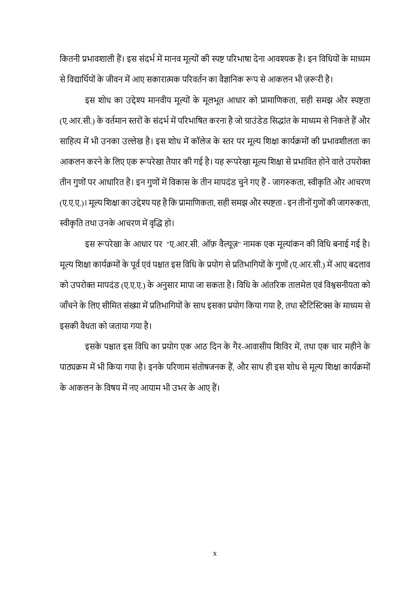कितनी प्रभावशाली हैं। इस संदर्भ में मानव मूल्यों की स्पष्ट परिभाषा देना आवश्यक है। इन विधियों के माध्यम

से विद्यार्थियों के जीवन में आए सकारात्मक परिवर्तन का वैज्ञानिक रूप से आकलन भी ज़रूरी है। इस शोध का उद्देश्य मानवीय मूल्यों के मूलभूत आधार को प्रामाणिकता, सही समझ और स्पष्टता (ए.आर.सी.) के वर्तमान स्तरों के संदर्भ में परिभाषित करना है जो ग्राउंडेड सिद्धांत के माध्यम से निकले हैं और साहित्य में भी उनका उल्लेख है। इस शोध में कॉलेज के स्तर पर मूल्य शिक्षा कार्यक्रमों की प्रभावशीलता का आकलन करने के लिए एक रूपरेखा तैयार की गई है। यह रूपरेखा मूल्य शिक्षा से प्रभावित होने वाले उपरोक्त तीन गुणों पर आधारित है। इन गुणों में विकास के तीन मापदंड चुने गए हैं - जागरुकता, स्वीकृति और आचरण (ए.ए.ए.)। मूल्य शिक्षा का उद्देश्य यह है कि प्रामाणिकता, सही समझ और स्पष्टता - इन तीनों गुणों की जागरुकता, स्वीकृति तथा उनके आचरण में वृद्धि हो।

इस रूपरेखा के आधार पर "ए.आर.सी. ऑफ़ वैल्यूज़" नामक एक मूल्यांकन की विधि बनाई गई है। मूल्य शिक्षा कार्यक्रमों के पूर्व एवं पश्चात इस विधि के प्रयोग से प्रतिभागियों के गुणों (ए.आर.सी.) में आए बदलाव को उपरोक्त मापदंड (ए.ए.ए.) के अनुसार मापा जा सकता है। विधि के आंतरिक तालमेल एवं विश्वसनीयता को जाँचने के लिए सीमित संख्या में प्रतिभागियों के साथ इसका प्रयोग किया गया है, तथा स्टैटिस्टिक्स के माध्यम से इसकी वैधता को जताया गया है।

इसके पश्चात इस विधि का प्रयोग एक आठ दिन के गैर-आवासीय शिविर में, तथा एक चार महीने के पाठ्यक्रम में भी किया गया है। इनके परिणाम संतोषजनक हैं, और साथ ही इस शोध से मूल्य शिक्षा कार्यक्रमों के आकलन के कवषय मेंनए आयाम भी उभर के आए हैं।

x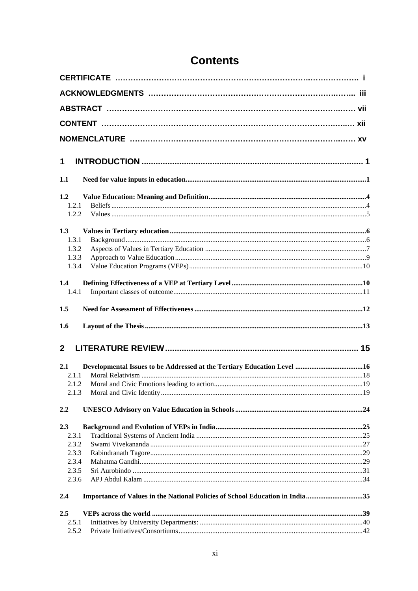| 1            |                                                                              |  |
|--------------|------------------------------------------------------------------------------|--|
| 1.1          |                                                                              |  |
| 1.2          |                                                                              |  |
| 1.2.1        |                                                                              |  |
| 1.2.2        |                                                                              |  |
| 1.3          |                                                                              |  |
| 1.3.1        |                                                                              |  |
| 1.3.2        |                                                                              |  |
| 1.3.3        |                                                                              |  |
| 1.3.4        |                                                                              |  |
| 1.4          |                                                                              |  |
| 1.4.1        |                                                                              |  |
| 1.5          |                                                                              |  |
| 1.6          |                                                                              |  |
| $\mathbf{2}$ |                                                                              |  |
|              |                                                                              |  |
| 2.1          |                                                                              |  |
| 2.1.1        |                                                                              |  |
| 2.1.2        |                                                                              |  |
| 2.1.3        |                                                                              |  |
| 2.2          |                                                                              |  |
| 2.3          |                                                                              |  |
| 2.3.1        |                                                                              |  |
| 2.3.2        |                                                                              |  |
| 2.3.3        |                                                                              |  |
| 2.3.4        |                                                                              |  |
| 2.3.5        |                                                                              |  |
| 2.3.6        |                                                                              |  |
| 2.4          | Importance of Values in the National Policies of School Education in India35 |  |
| 2.5          |                                                                              |  |
| 2.5.1        |                                                                              |  |
| 2.5.2        |                                                                              |  |

### **Contents**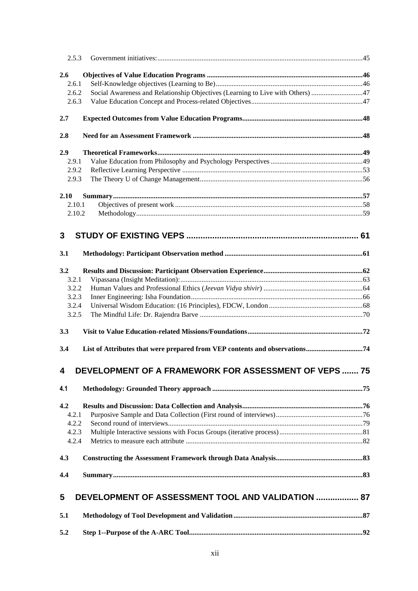| 2.5.3                   |                                                                                |  |
|-------------------------|--------------------------------------------------------------------------------|--|
| 2.6                     |                                                                                |  |
| 2.6.1                   |                                                                                |  |
| 2.6.2                   | Social Awareness and Relationship Objectives (Learning to Live with Others) 47 |  |
| 2.6.3                   |                                                                                |  |
| 2.7                     |                                                                                |  |
| 2.8                     |                                                                                |  |
| 2.9                     |                                                                                |  |
| 2.9.1                   |                                                                                |  |
| 2.9.2                   |                                                                                |  |
| 2.9.3                   |                                                                                |  |
| 2.10                    |                                                                                |  |
| 2.10.1                  |                                                                                |  |
| 2.10.2                  |                                                                                |  |
|                         |                                                                                |  |
| 3                       |                                                                                |  |
| 3.1                     |                                                                                |  |
| 3.2                     |                                                                                |  |
| 3.2.1                   |                                                                                |  |
| 3.2.2                   |                                                                                |  |
| 3.2.3                   |                                                                                |  |
| 3.2.4                   |                                                                                |  |
| 3.2.5                   |                                                                                |  |
| 3.3                     |                                                                                |  |
| 3.4                     |                                                                                |  |
| $\overline{\mathbf{4}}$ | DEVELOPMENT OF A FRAMEWORK FOR ASSESSMENT OF VEPS  75                          |  |
| 4.1                     |                                                                                |  |
|                         |                                                                                |  |
| 4.2                     |                                                                                |  |
| 4.2.1                   |                                                                                |  |
| 4.2.2                   |                                                                                |  |
| 4.2.3<br>4.2.4          |                                                                                |  |
|                         |                                                                                |  |
| 4.3                     |                                                                                |  |
| 4.4                     |                                                                                |  |
|                         |                                                                                |  |
| 5                       | DEVELOPMENT OF ASSESSMENT TOOL AND VALIDATION  87                              |  |
| 5.1                     |                                                                                |  |
| 5.2                     |                                                                                |  |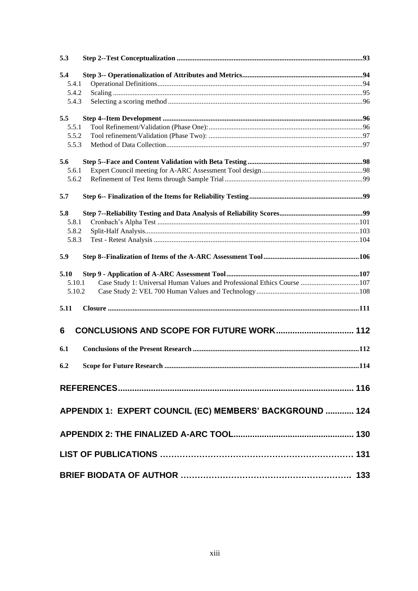| 5.3    |                                                                         |      |
|--------|-------------------------------------------------------------------------|------|
| 5.4    |                                                                         |      |
| 5.4.1  |                                                                         |      |
| 5.4.2  |                                                                         |      |
| 5.4.3  |                                                                         |      |
| 5.5    |                                                                         |      |
| 5.5.1  |                                                                         |      |
| 5.5.2  |                                                                         |      |
| 5.5.3  |                                                                         |      |
| 5.6    |                                                                         |      |
| 5.6.1  |                                                                         |      |
| 5.6.2  |                                                                         |      |
| 5.7    |                                                                         |      |
| 5.8    |                                                                         |      |
| 5.8.1  |                                                                         |      |
| 5.8.2  |                                                                         |      |
| 5.8.3  |                                                                         |      |
| 5.9    |                                                                         |      |
| 5.10   |                                                                         |      |
| 5.10.1 | Case Study 1: Universal Human Values and Professional Ethics Course 107 |      |
| 5.10.2 |                                                                         |      |
| 5.11   |                                                                         |      |
| 6      | CONCLUSIONS AND SCOPE FOR FUTURE WORK 112                               |      |
| 6.1    |                                                                         |      |
|        |                                                                         |      |
| 6.2    | <b>Scope for Future Research </b>                                       | .114 |
|        |                                                                         |      |
|        | APPENDIX 1: EXPERT COUNCIL (EC) MEMBERS' BACKGROUND  124                |      |
|        |                                                                         |      |
|        |                                                                         |      |
|        |                                                                         |      |
|        |                                                                         |      |